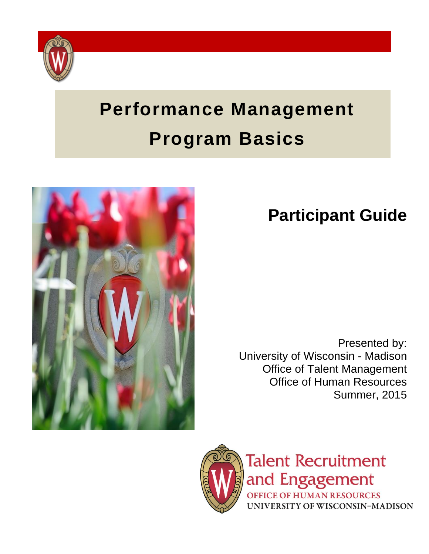

# **Performance Management Program Basics**



## **Participant Guide**

Presented by: University of Wisconsin - Madison Office of Talent Management Office of Human Resources Summer, 2015



**Talent Recruitment** and Engagement **OFFICE OF HUMAN RESOURCES** UNIVERSITY OF WISCONSIN-MADISON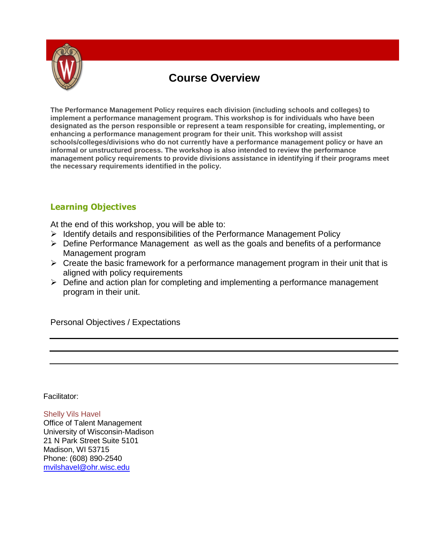

### **Course Overview**

**The Performance Management Policy requires each division (including schools and colleges) to implement a performance management program. This workshop is for individuals who have been designated as the person responsible or represent a team responsible for creating, implementing, or enhancing a performance management program for their unit. This workshop will assist schools/colleges/divisions who do not currently have a performance management policy or have an informal or unstructured process. The workshop is also intended to review the performance management policy requirements to provide divisions assistance in identifying if their programs meet the necessary requirements identified in the policy.**

#### **Learning Objectives**

At the end of this workshop, you will be able to:

- $\triangleright$  Identify details and responsibilities of the Performance Management Policy
- $\triangleright$  Define Performance Management as well as the goals and benefits of a performance Management program
- $\triangleright$  Create the basic framework for a performance management program in their unit that is aligned with policy requirements
- $\triangleright$  Define and action plan for completing and implementing a performance management program in their unit.

Personal Objectives / Expectations

Facilitator:

Shelly Vils Havel Office of Talent Management University of Wisconsin-Madison 21 N Park Street Suite 5101 Madison, WI 53715 Phone: (608) 890-2540 [mvilshavel@ohr.wisc.edu](mailto:mvilshavel@ohr.wisc.edu)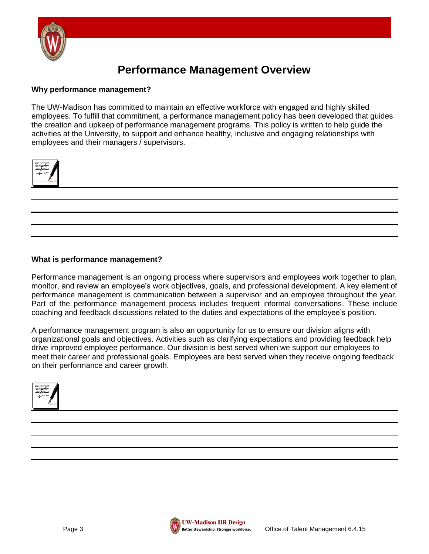

### **Performance Management Overview**

#### **Why performance management?**

The UW-Madison has committed to maintain an effective workforce with engaged and highly skilled employees. To fulfill that commitment, a performance management policy has been developed that guides the creation and upkeep of performance management programs. This policy is written to help guide the activities at the University, to support and enhance healthy, inclusive and engaging relationships with employees and their managers / supervisors.



#### **What is performance management?**

Performance management is an ongoing process where supervisors and employees work together to plan, monitor, and review an employee's work objectives, goals, and professional development. A key element of performance management is communication between a supervisor and an employee throughout the year. Part of the performance management process includes frequent informal conversations. These include coaching and feedback discussions related to the duties and expectations of the employee's position.

A performance management program is also an opportunity for us to ensure our division aligns with organizational goals and objectives. Activities such as clarifying expectations and providing feedback help drive improved employee performance. Our division is best served when we support our employees to meet their career and professional goals. Employees are best served when they receive ongoing feedback on their performance and career growth.



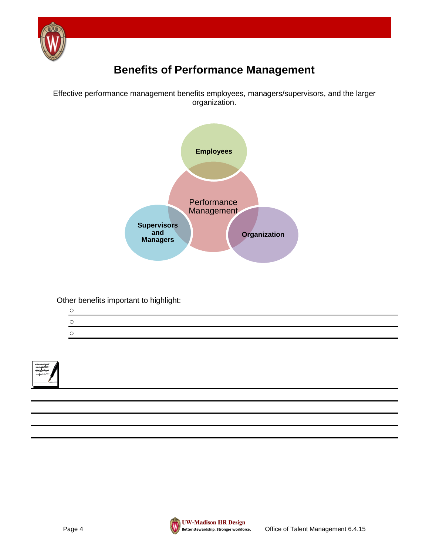

### **Benefits of Performance Management**

Effective performance management benefits employees, managers/supervisors, and the larger organization.



Other benefits important to highlight:

| $\circ$ |  |  |  |
|---------|--|--|--|
|         |  |  |  |



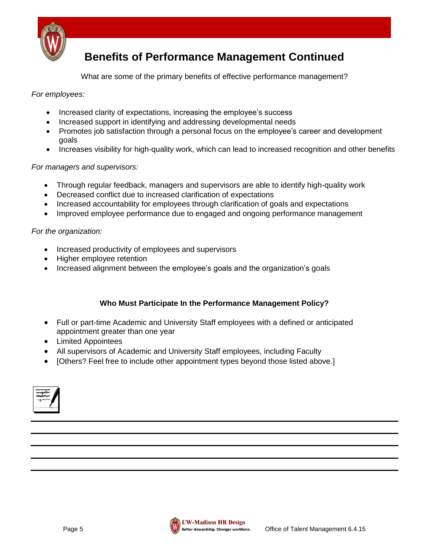

### **Benefits of Performance Management Continued**

What are some of the primary benefits of effective performance management?

*For employees:*

- Increased clarity of expectations, increasing the employee's success
- Increased support in identifying and addressing developmental needs
- Promotes job satisfaction through a personal focus on the employee's career and development goals
- Increases visibility for high-quality work, which can lead to increased recognition and other benefits

#### *For managers and supervisors:*

- Through regular feedback, managers and supervisors are able to identify high-quality work
- Decreased conflict due to increased clarification of expectations
- Increased accountability for employees through clarification of goals and expectations
- Improved employee performance due to engaged and ongoing performance management

#### *For the organization:*

- Increased productivity of employees and supervisors
- Higher employee retention
- Increased alignment between the employee's goals and the organization's goals

#### **Who Must Participate In the Performance Management Policy?**

- Full or part-time Academic and University Staff employees with a defined or anticipated appointment greater than one year
- Limited Appointees
- All supervisors of Academic and University Staff employees, including Faculty
- [Others? Feel free to include other appointment types beyond those listed above.]

| , |
|---|
|---|

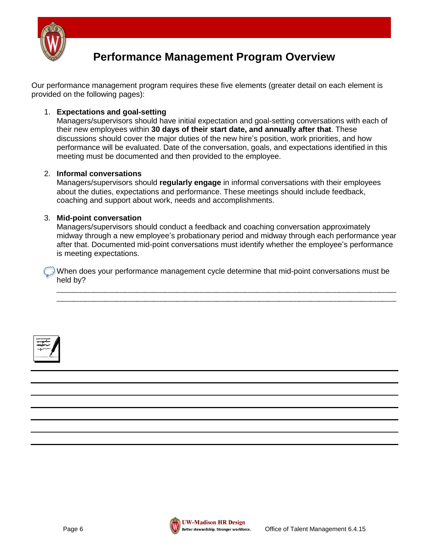

### **Performance Management Program Overview**

Our performance management program requires these five elements (greater detail on each element is provided on the following pages):

#### 1. **Expectations and goal-setting**

Managers/supervisors should have initial expectation and goal-setting conversations with each of their new employees within **30 days of their start date, and annually after that**. These discussions should cover the major duties of the new hire's position, work priorities, and how performance will be evaluated. Date of the conversation, goals, and expectations identified in this meeting must be documented and then provided to the employee.

#### 2. **Informal conversations**

Managers/supervisors should **regularly engage** in informal conversations with their employees about the duties, expectations and performance. These meetings should include feedback, coaching and support about work, needs and accomplishments.

#### 3. **Mid-point conversation**

Managers/supervisors should conduct a feedback and coaching conversation approximately midway through a new employee's probationary period and midway through each performance year after that. Documented mid-point conversations must identify whether the employee's performance is meeting expectations.

\_\_\_\_\_\_\_\_\_\_\_\_\_\_\_\_\_\_\_\_\_\_\_\_\_\_\_\_\_\_\_\_\_\_\_\_\_\_\_\_\_\_\_\_\_\_\_\_\_\_\_\_\_\_\_\_\_\_\_\_\_\_\_\_\_\_\_\_\_\_\_\_\_\_\_\_\_\_\_\_\_\_\_\_\_\_\_\_\_\_\_\_\_\_\_\_\_\_\_\_\_\_\_\_\_\_\_\_\_\_\_\_\_\_\_\_\_\_\_ \_\_\_\_\_\_\_\_\_\_\_\_\_\_\_\_\_\_\_\_\_\_\_\_\_\_\_\_\_\_\_\_\_\_\_\_\_\_\_\_\_\_\_\_\_\_\_\_\_\_\_\_\_\_\_\_\_\_\_\_\_\_\_\_\_\_\_\_\_\_\_\_\_\_\_\_\_\_\_\_\_\_\_\_\_\_\_\_\_\_\_\_\_\_\_\_\_\_\_\_\_\_\_\_\_\_\_\_\_\_\_\_\_\_\_\_\_\_\_

When does your performance management cycle determine that mid-point conversations must be held by?



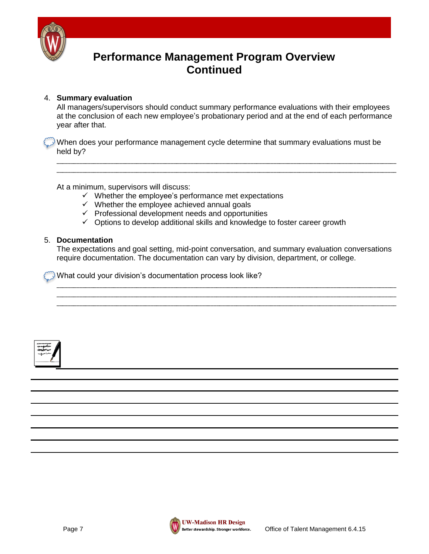

### **Performance Management Program Overview Continued**

#### 4. **Summary evaluation**

All managers/supervisors should conduct summary performance evaluations with their employees at the conclusion of each new employee's probationary period and at the end of each performance year after that.

\_\_\_\_\_\_\_\_\_\_\_\_\_\_\_\_\_\_\_\_\_\_\_\_\_\_\_\_\_\_\_\_\_\_\_\_\_\_\_\_\_\_\_\_\_\_\_\_\_\_\_\_\_\_\_\_\_\_\_\_\_\_\_\_\_\_\_\_\_\_\_\_\_\_\_\_\_\_\_\_\_\_\_\_\_\_\_\_\_\_\_\_\_\_\_\_\_\_\_\_\_\_\_\_\_\_\_\_\_\_\_\_\_\_\_\_\_\_\_ \_\_\_\_\_\_\_\_\_\_\_\_\_\_\_\_\_\_\_\_\_\_\_\_\_\_\_\_\_\_\_\_\_\_\_\_\_\_\_\_\_\_\_\_\_\_\_\_\_\_\_\_\_\_\_\_\_\_\_\_\_\_\_\_\_\_\_\_\_\_\_\_\_\_\_\_\_\_\_\_\_\_\_\_\_\_\_\_\_\_\_\_\_\_\_\_\_\_\_\_\_\_\_\_\_\_\_\_\_\_\_\_\_\_\_\_\_\_\_

When does your performance management cycle determine that summary evaluations must be held by?

At a minimum, supervisors will discuss:

- $\checkmark$  Whether the employee's performance met expectations
- $\checkmark$  Whether the employee achieved annual goals
- $\checkmark$  Professional development needs and opportunities
- $\checkmark$  Options to develop additional skills and knowledge to foster career growth

#### 5. **Documentation**

The expectations and goal setting, mid-point conversation, and summary evaluation conversations require documentation. The documentation can vary by division, department, or college.

\_\_\_\_\_\_\_\_\_\_\_\_\_\_\_\_\_\_\_\_\_\_\_\_\_\_\_\_\_\_\_\_\_\_\_\_\_\_\_\_\_\_\_\_\_\_\_\_\_\_\_\_\_\_\_\_\_\_\_\_\_\_\_\_\_\_\_\_\_\_\_\_\_\_\_\_\_\_\_\_\_\_\_\_\_\_\_\_\_\_\_\_\_\_\_\_\_\_\_\_\_\_\_\_\_\_\_\_\_\_\_\_\_\_\_\_\_\_\_ \_\_\_\_\_\_\_\_\_\_\_\_\_\_\_\_\_\_\_\_\_\_\_\_\_\_\_\_\_\_\_\_\_\_\_\_\_\_\_\_\_\_\_\_\_\_\_\_\_\_\_\_\_\_\_\_\_\_\_\_\_\_\_\_\_\_\_\_\_\_\_\_\_\_\_\_\_\_\_\_\_\_\_\_\_\_\_\_\_\_\_\_\_\_\_\_\_\_\_\_\_\_\_\_\_\_\_\_\_\_\_\_\_\_\_\_\_\_\_ \_\_\_\_\_\_\_\_\_\_\_\_\_\_\_\_\_\_\_\_\_\_\_\_\_\_\_\_\_\_\_\_\_\_\_\_\_\_\_\_\_\_\_\_\_\_\_\_\_\_\_\_\_\_\_\_\_\_\_\_\_\_\_\_\_\_\_\_\_\_\_\_\_\_\_\_\_\_\_\_\_\_\_\_\_\_\_\_\_\_\_\_\_\_\_\_\_\_\_\_\_\_\_\_\_\_\_\_\_\_\_\_\_\_\_\_\_\_\_

What could your division's documentation process look like?



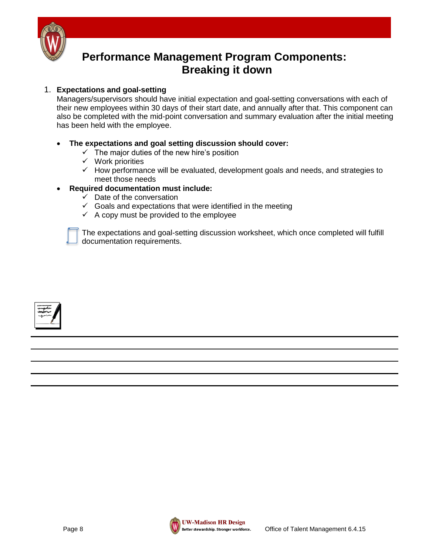

### **Performance Management Program Components: Breaking it down**

#### 1. **Expectations and goal-setting**

Managers/supervisors should have initial expectation and goal-setting conversations with each of their new employees within 30 days of their start date, and annually after that. This component can also be completed with the mid-point conversation and summary evaluation after the initial meeting has been held with the employee.

#### **The expectations and goal setting discussion should cover:**

- $\checkmark$  The major duties of the new hire's position
- $\checkmark$  Work priorities
- $\checkmark$  How performance will be evaluated, development goals and needs, and strategies to meet those needs

#### **Required documentation must include:**

- $\checkmark$  Date of the conversation
- $\checkmark$  Goals and expectations that were identified in the meeting
- $\checkmark$  A copy must be provided to the employee



The expectations and goal-setting discussion worksheet, which once completed will fulfill documentation requirements.



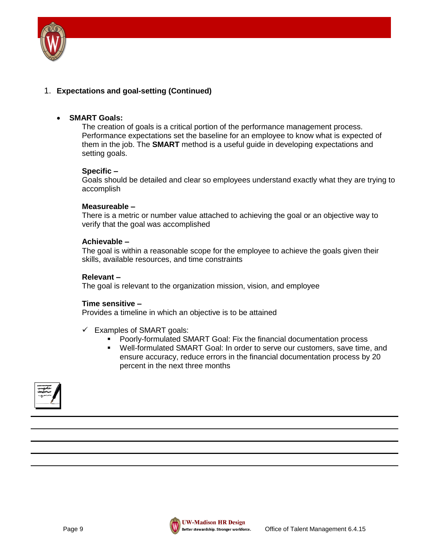

#### 1. **Expectations and goal-setting (Continued)**

#### **SMART Goals:**

The creation of goals is a critical portion of the performance management process. Performance expectations set the baseline for an employee to know what is expected of them in the job. The **SMART** method is a useful guide in developing expectations and setting goals.

#### **Specific –**

Goals should be detailed and clear so employees understand exactly what they are trying to accomplish

#### **Measureable –**

There is a metric or number value attached to achieving the goal or an objective way to verify that the goal was accomplished

#### **Achievable –**

The goal is within a reasonable scope for the employee to achieve the goals given their skills, available resources, and time constraints

#### **Relevant –**

The goal is relevant to the organization mission, vision, and employee

#### **Time sensitive –**

Provides a timeline in which an objective is to be attained

- $\checkmark$  Examples of SMART goals:
	- Poorly-formulated SMART Goal: Fix the financial documentation process
	- Well-formulated SMART Goal: In order to serve our customers, save time, and ensure accuracy, reduce errors in the financial documentation process by 20 percent in the next three months



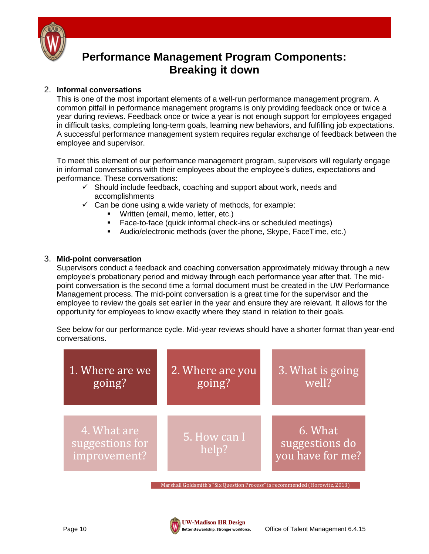

### **Performance Management Program Components: Breaking it down**

#### 2. **Informal conversations**

This is one of the most important elements of a well-run performance management program. A common pitfall in performance management programs is only providing feedback once or twice a year during reviews. Feedback once or twice a year is not enough support for employees engaged in difficult tasks, completing long-term goals, learning new behaviors, and fulfilling job expectations. A successful performance management system requires regular exchange of feedback between the employee and supervisor.

To meet this element of our performance management program, supervisors will regularly engage in informal conversations with their employees about the employee's duties, expectations and performance. These conversations:

- $\checkmark$  Should include feedback, coaching and support about work, needs and accomplishments
- $\checkmark$  Can be done using a wide variety of methods, for example:
	- **Written (email, memo, letter, etc.)**
	- **Face-to-face (quick informal check-ins or scheduled meetings)**
	- Audio/electronic methods (over the phone, Skype, FaceTime, etc.)

#### 3. **Mid-point conversation**

Supervisors conduct a feedback and coaching conversation approximately midway through a new employee's probationary period and midway through each performance year after that. The midpoint conversation is the second time a formal document must be created in the UW Performance Management process. The mid-point conversation is a great time for the supervisor and the employee to review the goals set earlier in the year and ensure they are relevant. It allows for the opportunity for employees to know exactly where they stand in relation to their goals.

See below for our performance cycle. Mid-year reviews should have a shorter format than year-end conversations.

| 1. Where are we                                | 2. Where are you      | 3. What is going                              |
|------------------------------------------------|-----------------------|-----------------------------------------------|
| going?                                         | going?                | well?                                         |
| 4. What are<br>suggestions for<br>improvement? | 5. How can I<br>help? | 6. What<br>suggestions do<br>you have for me? |

Marshall Goldsmith's "Six Question Process" is recommended (Horowitz, 2013)

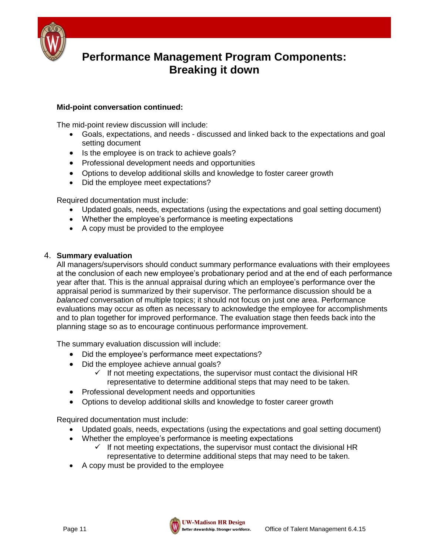

### **Performance Management Program Components: Breaking it down**

#### **Mid-point conversation continued:**

The mid-point review discussion will include:

- Goals, expectations, and needs discussed and linked back to the expectations and goal setting document
- Is the employee is on track to achieve goals?
- Professional development needs and opportunities
- Options to develop additional skills and knowledge to foster career growth
- Did the employee meet expectations?

Required documentation must include:

- Updated goals, needs, expectations (using the expectations and goal setting document)
- Whether the employee's performance is meeting expectations
- A copy must be provided to the employee

#### 4. **Summary evaluation**

All managers/supervisors should conduct summary performance evaluations with their employees at the conclusion of each new employee's probationary period and at the end of each performance year after that. This is the annual appraisal during which an employee's performance over the appraisal period is summarized by their supervisor. The performance discussion should be a *balanced* conversation of multiple topics; it should not focus on just one area. Performance evaluations may occur as often as necessary to acknowledge the employee for accomplishments and to plan together for improved performance. The evaluation stage then feeds back into the planning stage so as to encourage continuous performance improvement.

The summary evaluation discussion will include:

- Did the employee's performance meet expectations?
- Did the employee achieve annual goals?
	- $\checkmark$  If not meeting expectations, the supervisor must contact the divisional HR representative to determine additional steps that may need to be taken.
- Professional development needs and opportunities
- Options to develop additional skills and knowledge to foster career growth

Required documentation must include:

- Updated goals, needs, expectations (using the expectations and goal setting document)
- Whether the employee's performance is meeting expectations
	- $\checkmark$  If not meeting expectations, the supervisor must contact the divisional HR representative to determine additional steps that may need to be taken.
- A copy must be provided to the employee

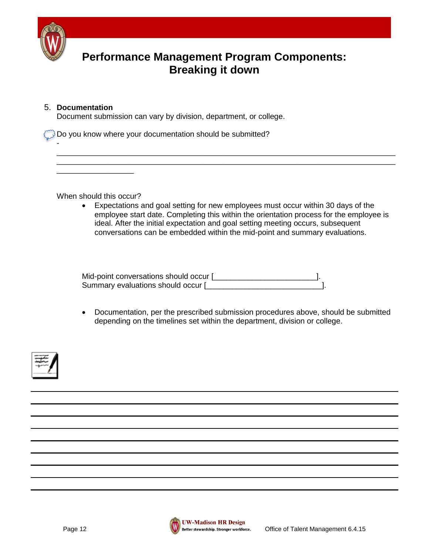

-

### **Performance Management Program Components: Breaking it down**

#### 5. **Documentation**

Document submission can vary by division, department, or college.

Do you know where your documentation should be submitted?

When should this occur?

\_\_\_\_\_\_\_\_\_\_\_\_\_\_\_\_\_\_

 Expectations and goal setting for new employees must occur within 30 days of the employee start date. Completing this within the orientation process for the employee is ideal. After the initial expectation and goal setting meeting occurs, subsequent conversations can be embedded within the mid-point and summary evaluations.

\_\_\_\_\_\_\_\_\_\_\_\_\_\_\_\_\_\_\_\_\_\_\_\_\_\_\_\_\_\_\_\_\_\_\_\_\_\_\_\_\_\_\_\_\_\_\_\_\_\_\_\_\_\_\_\_\_\_\_\_\_\_\_\_\_\_\_\_\_\_\_\_\_\_\_\_\_\_\_ \_\_\_\_\_\_\_\_\_\_\_\_\_\_\_\_\_\_\_\_\_\_\_\_\_\_\_\_\_\_\_\_\_\_\_\_\_\_\_\_\_\_\_\_\_\_\_\_\_\_\_\_\_\_\_\_\_\_\_\_\_\_\_\_\_\_\_\_\_\_\_\_\_\_\_\_\_\_\_

Mid-point conversations should occur [\_\_\_\_\_\_\_\_\_\_\_\_\_\_\_\_\_\_\_\_\_\_\_\_\_\_\_\_\_\_\_\_]. Summary evaluations should occur [\_\_\_\_\_\_\_\_\_\_\_\_\_\_\_\_\_\_\_\_\_\_\_\_\_\_\_].

 Documentation, per the prescribed submission procedures above, should be submitted depending on the timelines set within the department, division or college.





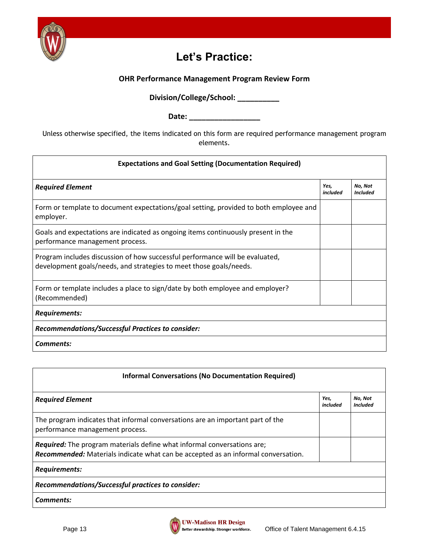

### **Let's Practice:**

#### **OHR Performance Management Program Review Form**

**Division/College/School: \_\_\_\_\_\_\_\_\_\_**

**Date: \_\_\_\_\_\_\_\_\_\_\_\_\_\_\_\_\_**

Unless otherwise specified, the items indicated on this form are required performance management program elements.

| <b>Expectations and Goal Setting (Documentation Required)</b>                                                                                      |                  |                            |  |
|----------------------------------------------------------------------------------------------------------------------------------------------------|------------------|----------------------------|--|
| <b>Required Element</b>                                                                                                                            | Yes.<br>included | No. Not<br><b>Included</b> |  |
| Form or template to document expectations/goal setting, provided to both employee and<br>employer.                                                 |                  |                            |  |
| Goals and expectations are indicated as ongoing items continuously present in the<br>performance management process.                               |                  |                            |  |
| Program includes discussion of how successful performance will be evaluated,<br>development goals/needs, and strategies to meet those goals/needs. |                  |                            |  |
| Form or template includes a place to sign/date by both employee and employer?<br>(Recommended)                                                     |                  |                            |  |
| Requirements:                                                                                                                                      |                  |                            |  |
| Recommendations/Successful Practices to consider:                                                                                                  |                  |                            |  |
| Comments:                                                                                                                                          |                  |                            |  |

| <b>Informal Conversations (No Documentation Required)</b>                                                                                                           |                  |                            |  |
|---------------------------------------------------------------------------------------------------------------------------------------------------------------------|------------------|----------------------------|--|
| <b>Required Element</b>                                                                                                                                             | Yes,<br>included | No, Not<br><b>Included</b> |  |
| The program indicates that informal conversations are an important part of the<br>performance management process.                                                   |                  |                            |  |
| <b>Required:</b> The program materials define what informal conversations are;<br>Recommended: Materials indicate what can be accepted as an informal conversation. |                  |                            |  |
| <b>Requirements:</b>                                                                                                                                                |                  |                            |  |
| Recommendations/Successful practices to consider:                                                                                                                   |                  |                            |  |
| Comments:                                                                                                                                                           |                  |                            |  |

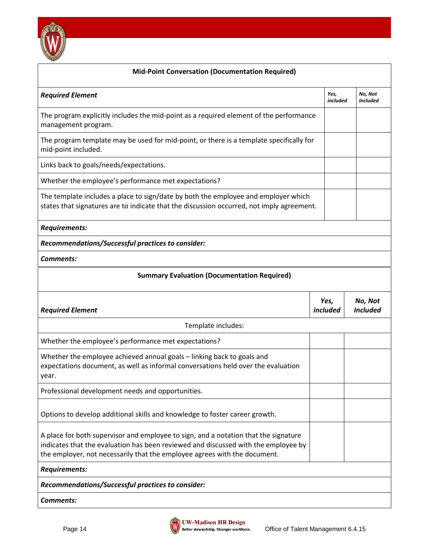

#### **Mid-Point Conversation (Documentation Required)**

| <b>Required Element</b>                                                                                                                                                                                                                                | Yes,<br>included        | No, Not<br><b>Included</b> |  |  |
|--------------------------------------------------------------------------------------------------------------------------------------------------------------------------------------------------------------------------------------------------------|-------------------------|----------------------------|--|--|
| The program explicitly includes the mid-point as a required element of the performance<br>management program.                                                                                                                                          |                         |                            |  |  |
| The program template may be used for mid-point, or there is a template specifically for<br>mid-point included.                                                                                                                                         |                         |                            |  |  |
| Links back to goals/needs/expectations.                                                                                                                                                                                                                |                         |                            |  |  |
| Whether the employee's performance met expectations?                                                                                                                                                                                                   |                         |                            |  |  |
| The template includes a place to sign/date by both the employee and employer which<br>states that signatures are to indicate that the discussion occurred, not imply agreement.                                                                        |                         |                            |  |  |
| <b>Requirements:</b>                                                                                                                                                                                                                                   |                         |                            |  |  |
| Recommendations/Successful practices to consider:                                                                                                                                                                                                      |                         |                            |  |  |
| <b>Comments:</b>                                                                                                                                                                                                                                       |                         |                            |  |  |
| <b>Summary Evaluation (Documentation Required)</b>                                                                                                                                                                                                     |                         |                            |  |  |
|                                                                                                                                                                                                                                                        |                         |                            |  |  |
| <b>Required Element</b>                                                                                                                                                                                                                                | Yes,<br><i>included</i> | No, Not<br><b>Included</b> |  |  |
| Template includes:                                                                                                                                                                                                                                     |                         |                            |  |  |
| Whether the employee's performance met expectations?                                                                                                                                                                                                   |                         |                            |  |  |
| Whether the employee achieved annual goals - linking back to goals and<br>expectations document, as well as informal conversations held over the evaluation<br>year.                                                                                   |                         |                            |  |  |
| Professional development needs and opportunities.                                                                                                                                                                                                      |                         |                            |  |  |
| Options to develop additional skills and knowledge to foster career growth.                                                                                                                                                                            |                         |                            |  |  |
| A place for both supervisor and employee to sign, and a notation that the signature<br>indicates that the evaluation has been reviewed and discussed with the employee by<br>the employer, not necessarily that the employee agrees with the document. |                         |                            |  |  |
| <b>Requirements:</b>                                                                                                                                                                                                                                   |                         |                            |  |  |
| Recommendations/Successful practices to consider:                                                                                                                                                                                                      |                         |                            |  |  |

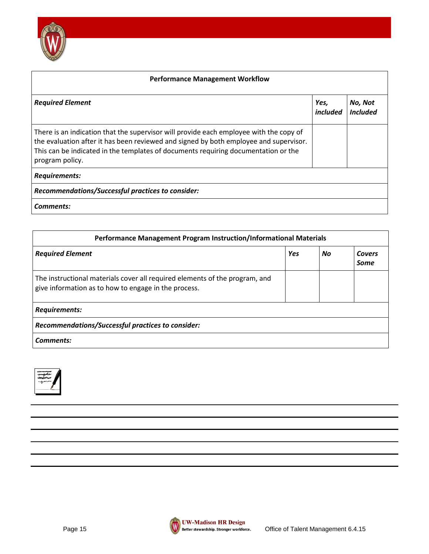

| <b>Performance Management Workflow</b>                                                                                                                                                                                                                                                   |                         |                            |  |  |
|------------------------------------------------------------------------------------------------------------------------------------------------------------------------------------------------------------------------------------------------------------------------------------------|-------------------------|----------------------------|--|--|
| <b>Required Element</b>                                                                                                                                                                                                                                                                  | Yes,<br><i>included</i> | No, Not<br><b>Included</b> |  |  |
| There is an indication that the supervisor will provide each employee with the copy of<br>the evaluation after it has been reviewed and signed by both employee and supervisor.<br>This can be indicated in the templates of documents requiring documentation or the<br>program policy. |                         |                            |  |  |
| <b>Requirements:</b>                                                                                                                                                                                                                                                                     |                         |                            |  |  |
| Recommendations/Successful practices to consider:                                                                                                                                                                                                                                        |                         |                            |  |  |
| Comments:                                                                                                                                                                                                                                                                                |                         |                            |  |  |

| Performance Management Program Instruction/Informational Materials                                                                  |     |    |                |
|-------------------------------------------------------------------------------------------------------------------------------------|-----|----|----------------|
| <b>Required Element</b>                                                                                                             | Yes | No | Covers<br>Some |
| The instructional materials cover all required elements of the program, and<br>give information as to how to engage in the process. |     |    |                |
| <b>Requirements:</b>                                                                                                                |     |    |                |
| Recommendations/Successful practices to consider:                                                                                   |     |    |                |
| Comments:                                                                                                                           |     |    |                |



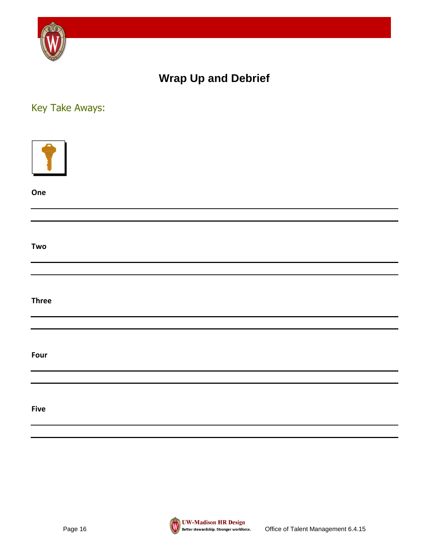

### **Wrap Up and Debrief**

### Key Take Aways:

| One          |  |
|--------------|--|
|              |  |
| Two          |  |
|              |  |
| <b>Three</b> |  |
|              |  |
| Four         |  |
| <b>Five</b>  |  |